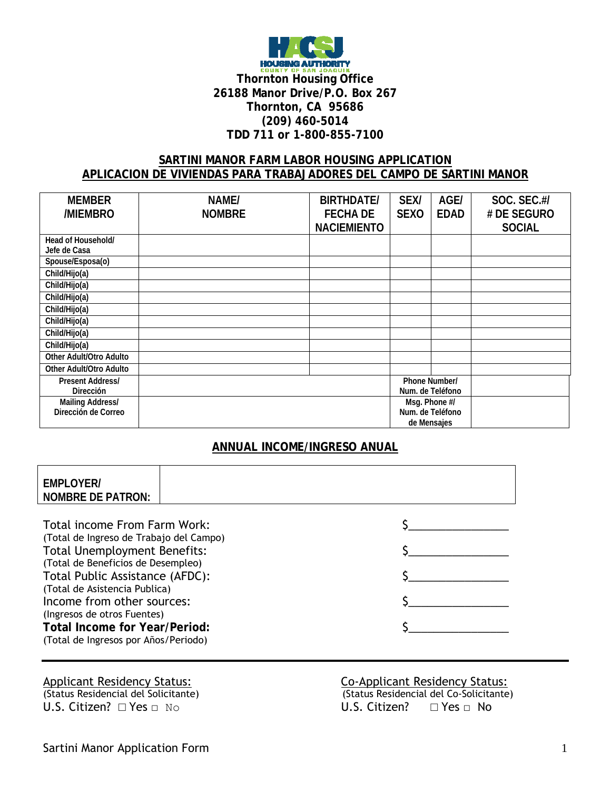

### **SARTINI MANOR FARM LABOR HOUSING APPLICATION APLICACION DE VIVIENDAS PARA TRABAJADORES DEL CAMPO DE SARTINI MANOR**

| <b>MEMBER</b>           | NAME/         | <b>BIRTHDATE/</b>  | <b>SEX/</b> | AGE/             | SOC. SEC.#/   |
|-------------------------|---------------|--------------------|-------------|------------------|---------------|
| /MIEMBRO                | <b>NOMBRE</b> | <b>FECHA DE</b>    | <b>SEXO</b> | <b>EDAD</b>      | # DE SEGURO   |
|                         |               | <b>NACIEMIENTO</b> |             |                  | <b>SOCIAL</b> |
| Head of Household/      |               |                    |             |                  |               |
| Jefe de Casa            |               |                    |             |                  |               |
| Spouse/Esposa(o)        |               |                    |             |                  |               |
| Child/Hijo(a)           |               |                    |             |                  |               |
| Child/Hijo(a)           |               |                    |             |                  |               |
| Child/Hijo(a)           |               |                    |             |                  |               |
| Child/Hijo(a)           |               |                    |             |                  |               |
| Child/Hijo(a)           |               |                    |             |                  |               |
| Child/Hijo(a)           |               |                    |             |                  |               |
| Child/Hijo(a)           |               |                    |             |                  |               |
| Other Adult/Otro Adulto |               |                    |             |                  |               |
| Other Adult/Otro Adulto |               |                    |             |                  |               |
| <b>Present Address/</b> |               |                    |             | Phone Number/    |               |
| <b>Dirección</b>        |               |                    |             | Num. de Teléfono |               |
| <b>Mailing Address/</b> |               |                    |             | Msg. Phone #/    |               |
| Dirección de Correo     |               |                    |             | Num. de Teléfono |               |
|                         |               |                    |             | de Mensajes      |               |

## **ANNUAL INCOME/INGRESO ANUAL**

| <b>EMPLOYER/</b><br><b>NOMBRE DE PATRON:</b>                                                                                                                                                                                                                                                                                                                          |  |  |
|-----------------------------------------------------------------------------------------------------------------------------------------------------------------------------------------------------------------------------------------------------------------------------------------------------------------------------------------------------------------------|--|--|
| Total income From Farm Work:<br>(Total de Ingreso de Trabajo del Campo)<br><b>Total Unemployment Benefits:</b><br>(Total de Beneficios de Desempleo)<br>Total Public Assistance (AFDC):<br>(Total de Asistencia Publica)<br>Income from other sources:<br>(Ingresos de otros Fuentes)<br><b>Total Income for Year/Period:</b><br>(Total de Ingresos por Años/Periodo) |  |  |

# Applicant Residency Status:<br>
(Status Residencial del Solicitante)<br>
(Status Residencial del Co-Solicitante) U.S. Citizen? □ Yes □ No U.S. Citizen? □ Yes □ No

(Status Residencial del Solicitante) (Status Residencial del Co-Solicitante)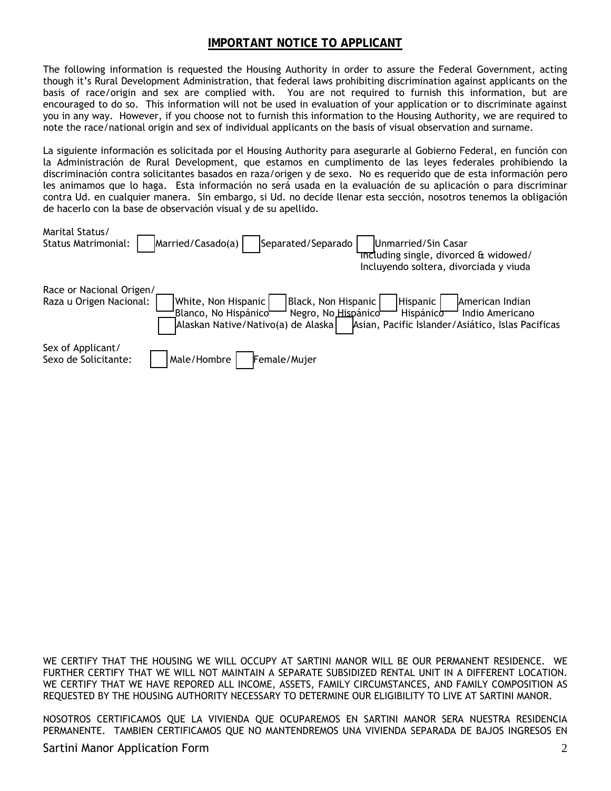# **IMPORTANT NOTICE TO APPLICANT**

The following information is requested the Housing Authority in order to assure the Federal Government, acting though it's Rural Development Administration, that federal laws prohibiting discrimination against applicants on the basis of race/origin and sex are complied with. You are not required to furnish this information, but are encouraged to do so. This information will not be used in evaluation of your application or to discriminate against you in any way. However, if you choose not to furnish this information to the Housing Authority, we are required to note the race/national origin and sex of individual applicants on the basis of visual observation and surname.

La siguiente información es solicitada por el Housing Authority para asegurarle al Gobierno Federal, en función con la Administración de Rural Development, que estamos en cumplimento de las leyes federales prohibiendo la discriminación contra solicitantes basados en raza/origen y de sexo. No es requerido que de esta información pero les animamos que lo haga. Esta información no será usada en la evaluación de su aplicación o para discriminar contra Ud. en cualquier manera. Sin embargo, si Ud. no decide llenar esta sección, nosotros tenemos la obligación de hacerlo con la base de observación visual y de su apellido.

| Marital Status/<br>Married/Casado(a)<br>Separated/Separado<br><b>Status Matrimonial:</b>                                                                                                  | Unmarried/Sin Casar<br>Theluding single, divorced & widowed/<br>Incluyendo soltera, divorciada y viuda           |
|-------------------------------------------------------------------------------------------------------------------------------------------------------------------------------------------|------------------------------------------------------------------------------------------------------------------|
| Race or Nacional Origen/<br>Black, Non Hispanic<br>Raza u Origen Nacional:<br> White, Non Hispanic  <br>Blanco, No Hispánico<br>Negro, No Hispánico<br>Alaskan Native/Nativo(a) de Alaska | Hispanic<br>American Indian<br>Indio Americano<br>Hispánico<br>Asian, Pacific Islander/Asiático, Islas Pacificas |
| Sex of Applicant/<br>Male/Hombre<br>Female/Mujer<br>Sexo de Solicitante:                                                                                                                  |                                                                                                                  |

WE CERTIFY THAT THE HOUSING WE WILL OCCUPY AT SARTINI MANOR WILL BE OUR PERMANENT RESIDENCE. WE FURTHER CERTIFY THAT WE WILL NOT MAINTAIN A SEPARATE SUBSIDIZED RENTAL UNIT IN A DIFFERENT LOCATION. WE CERTIFY THAT WE HAVE REPORED ALL INCOME, ASSETS, FAMILY CIRCUMSTANCES, AND FAMILY COMPOSITION AS REQUESTED BY THE HOUSING AUTHORITY NECESSARY TO DETERMINE OUR ELIGIBILITY TO LIVE AT SARTINI MANOR.

NOSOTROS CERTIFICAMOS QUE LA VIVIENDA QUE OCUPAREMOS EN SARTINI MANOR SERA NUESTRA RESIDENCIA PERMANENTE. TAMBIEN CERTIFICAMOS QUE NO MANTENDREMOS UNA VIVIENDA SEPARADA DE BAJOS INGRESOS EN